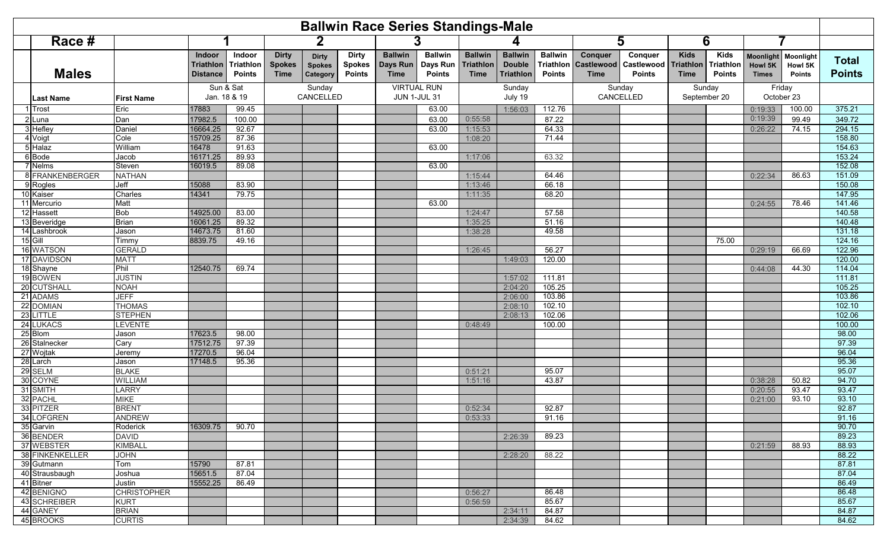| <b>Ballwin Race Series Standings-Male</b> |                             |                                               |                                             |                                              |                                           |                                                |                                           |                                             |                                                   |                                                     |                                              |                                                    |                                        |                                                |                                           |                                             |                                       |                               |
|-------------------------------------------|-----------------------------|-----------------------------------------------|---------------------------------------------|----------------------------------------------|-------------------------------------------|------------------------------------------------|-------------------------------------------|---------------------------------------------|---------------------------------------------------|-----------------------------------------------------|----------------------------------------------|----------------------------------------------------|----------------------------------------|------------------------------------------------|-------------------------------------------|---------------------------------------------|---------------------------------------|-------------------------------|
| Race #                                    |                             |                                               |                                             |                                              |                                           | 2                                              |                                           |                                             |                                                   |                                                     |                                              |                                                    | 5                                      | 6                                              |                                           |                                             |                                       |                               |
| <b>Males</b>                              |                             | Indoor<br><b>Triathlon</b><br><b>Distance</b> | Indoor<br><b>Triathlon</b><br><b>Points</b> | <b>Dirty</b><br><b>Spokes</b><br><b>Time</b> | <b>Dirty</b><br><b>Spokes</b><br>Category | <b>Dirty</b><br><b>Spokes</b><br><b>Points</b> | <b>Ballwin</b><br>Days Run<br><b>Time</b> | <b>Ballwin</b><br>Days Run<br><b>Points</b> | <b>Ballwin</b><br><b>Triathlon</b><br><b>Time</b> | <b>Ballwin</b><br><b>Double</b><br><b>Triathlon</b> | <b>Ballwin</b><br>Triathlon<br><b>Points</b> | <b>Conquer</b><br><b>Castlewood</b><br><b>Time</b> | Conquer<br>Castlewood<br><b>Points</b> | <b>Kids</b><br><b>Triathlon</b><br><b>Time</b> | <b>Kids</b><br>Triathlon<br><b>Points</b> | <b>Moonlight</b><br>Howl 5K<br><b>Times</b> | Moonlight<br>Howl 5K<br><b>Points</b> | <b>Total</b><br><b>Points</b> |
| <b>Last Name</b>                          | <b>First Name</b>           |                                               | Sun & Sat<br>Jan. 18 & 19                   | Sunday<br>CANCELLED                          |                                           | <b>VIRTUAL RUN</b><br><b>JUN 1-JUL 31</b>      |                                           | Sunday<br>July 19                           |                                                   | Sunday<br>CANCELLED                                 |                                              | Sunday<br>September 20                             |                                        | Friday<br>October 23                           |                                           |                                             |                                       |                               |
| Trost                                     | Eric                        | 17883                                         | 99.45                                       |                                              |                                           |                                                |                                           | 63.00                                       |                                                   | 1:56:03                                             | 112.76                                       |                                                    |                                        |                                                |                                           | 0:19:33                                     | 100.00                                | 375.21                        |
| 2 Luna                                    | Dan                         | 17982.5                                       | 100.00                                      |                                              |                                           |                                                |                                           | 63.00                                       | 0:55:58                                           |                                                     | 87.22                                        |                                                    |                                        |                                                |                                           | 0:19:39                                     | 99.49                                 | 349.72                        |
| 3 Hefley                                  | Daniel                      | 16664.25                                      | 92.67                                       |                                              |                                           |                                                |                                           | 63.00                                       | 1:15:53                                           |                                                     | 64.33                                        |                                                    |                                        |                                                |                                           | 0:26:22                                     | 74.15                                 | 294.15                        |
| 4 Voigt                                   | Cole                        | 15709.25                                      | 87.36                                       |                                              |                                           |                                                |                                           |                                             | 1:08:20                                           |                                                     | 71.44                                        |                                                    |                                        |                                                |                                           |                                             |                                       | 158.80                        |
| 5 Halaz                                   | William                     | 16478                                         | 91.63                                       |                                              |                                           |                                                |                                           | 63.00                                       |                                                   |                                                     |                                              |                                                    |                                        |                                                |                                           |                                             |                                       | 154.63                        |
| 6 Bode                                    | Jacob                       | 16171.25                                      | 89.93                                       |                                              |                                           |                                                |                                           |                                             | 1:17:06                                           |                                                     | 63.32                                        |                                                    |                                        |                                                |                                           |                                             |                                       | 153.24                        |
| 7 Nelms                                   | Steven                      | 16019.5                                       | 89.08                                       |                                              |                                           |                                                |                                           | 63.00                                       |                                                   |                                                     |                                              |                                                    |                                        |                                                |                                           |                                             |                                       | 152.08                        |
| 8 FRANKENBERGER                           | <b>NATHAN</b>               |                                               |                                             |                                              |                                           |                                                |                                           |                                             | 1:15:44                                           |                                                     | 64.46                                        |                                                    |                                        |                                                |                                           | 0:22:34                                     | 86.63                                 | 151.09                        |
| 9 Rogles                                  | Jeff                        | 15088                                         | 83.90                                       |                                              |                                           |                                                |                                           |                                             | 1:13:46                                           |                                                     | 66.18                                        |                                                    |                                        |                                                |                                           |                                             |                                       | 150.08                        |
| 10 Kaiser                                 | Charles                     | 14341                                         | 79.75                                       |                                              |                                           |                                                |                                           |                                             | 1:11:35                                           |                                                     | 68.20                                        |                                                    |                                        |                                                |                                           |                                             |                                       | 147.95                        |
| 11 Mercurio                               | Matt                        |                                               |                                             |                                              |                                           |                                                |                                           | 63.00                                       | 1:24:47                                           |                                                     |                                              |                                                    |                                        |                                                |                                           | 0:24:55                                     | 78.46                                 | 141.46<br>140.58              |
| 12 Hassett<br>13 Beveridge                | <b>Bob</b><br><b>Brian</b>  | 14925.00<br>16061.25                          | 83.00<br>89.32                              |                                              |                                           |                                                |                                           |                                             |                                                   |                                                     | 57.58<br>51.16                               |                                                    |                                        |                                                |                                           |                                             |                                       | 140.48                        |
| 14 Lashbrook                              |                             | 14673.75                                      | 81.60                                       |                                              |                                           |                                                |                                           |                                             | 1:35:25<br>1:38:28                                |                                                     | 49.58                                        |                                                    |                                        |                                                |                                           |                                             |                                       | 131.18                        |
| $15$ Gill                                 | Jason<br>Timmy              | 8839.75                                       | 49.16                                       |                                              |                                           |                                                |                                           |                                             |                                                   |                                                     |                                              |                                                    |                                        |                                                | 75.00                                     |                                             |                                       | 124.16                        |
| 16 WATSON                                 | <b>GERALD</b>               |                                               |                                             |                                              |                                           |                                                |                                           |                                             | 1:26:45                                           |                                                     | 56.27                                        |                                                    |                                        |                                                |                                           | 0:29:19                                     | 66.69                                 | 122.96                        |
| 17 DAVIDSON                               | <b>MATT</b>                 |                                               |                                             |                                              |                                           |                                                |                                           |                                             |                                                   | 1:49:03                                             | 120.00                                       |                                                    |                                        |                                                |                                           |                                             |                                       | 120.00                        |
| 18 Shayne                                 | Phil                        | 12540.75                                      | 69.74                                       |                                              |                                           |                                                |                                           |                                             |                                                   |                                                     |                                              |                                                    |                                        |                                                |                                           | 0:44:08                                     | 44.30                                 | 114.04                        |
| 19 BOWEN                                  | <b>JUSTIN</b>               |                                               |                                             |                                              |                                           |                                                |                                           |                                             |                                                   | 1:57:02                                             | 111.81                                       |                                                    |                                        |                                                |                                           |                                             |                                       | 111.81                        |
| 20 CUTSHALL                               | <b>NOAH</b>                 |                                               |                                             |                                              |                                           |                                                |                                           |                                             |                                                   | 2:04:20                                             | 105.25                                       |                                                    |                                        |                                                |                                           |                                             |                                       | 105.25                        |
| 21 ADAMS                                  | <b>JEFF</b>                 |                                               |                                             |                                              |                                           |                                                |                                           |                                             |                                                   | 2:06:00                                             | 103.86                                       |                                                    |                                        |                                                |                                           |                                             |                                       | 103.86                        |
| 22 DOMIAN                                 | <b>THOMAS</b>               |                                               |                                             |                                              |                                           |                                                |                                           |                                             |                                                   | 2:08:10                                             | 102.10                                       |                                                    |                                        |                                                |                                           |                                             |                                       | 102.10                        |
| 23 LITTLE                                 | <b>STEPHEN</b>              |                                               |                                             |                                              |                                           |                                                |                                           |                                             |                                                   | 2:08:13                                             | 102.06                                       |                                                    |                                        |                                                |                                           |                                             |                                       | 102.06                        |
| 24 LUKACS                                 | LEVENTE                     |                                               |                                             |                                              |                                           |                                                |                                           |                                             | 0:48:49                                           |                                                     | 100.00                                       |                                                    |                                        |                                                |                                           |                                             |                                       | 100.00                        |
| 25 Blom                                   | Jason                       | 17623.5                                       | 98.00                                       |                                              |                                           |                                                |                                           |                                             |                                                   |                                                     |                                              |                                                    |                                        |                                                |                                           |                                             |                                       | 98.00                         |
| 26 Stalnecker                             | Cary                        | 17512.75                                      | 97.39                                       |                                              |                                           |                                                |                                           |                                             |                                                   |                                                     |                                              |                                                    |                                        |                                                |                                           |                                             |                                       | 97.39                         |
| 27 Wojtak                                 | Jeremy                      | 17270.5                                       | 96.04                                       |                                              |                                           |                                                |                                           |                                             |                                                   |                                                     |                                              |                                                    |                                        |                                                |                                           |                                             |                                       | 96.04                         |
| 28 Larch                                  | Jason                       | 17148.5                                       | 95.36                                       |                                              |                                           |                                                |                                           |                                             |                                                   |                                                     |                                              |                                                    |                                        |                                                |                                           |                                             |                                       | 95.36                         |
| 29 SELM                                   | <b>BLAKE</b>                |                                               |                                             |                                              |                                           |                                                |                                           |                                             | 0:51:21                                           |                                                     | 95.07                                        |                                                    |                                        |                                                |                                           |                                             |                                       | 95.07                         |
| 30 COYNE                                  | <b>WILLIAM</b>              |                                               |                                             |                                              |                                           |                                                |                                           |                                             | 1:51:16                                           |                                                     | 43.87                                        |                                                    |                                        |                                                |                                           | 0:38:28                                     | 50.82                                 | 94.70                         |
| 31 SMITH                                  | <b>LARRY</b>                |                                               |                                             |                                              |                                           |                                                |                                           |                                             |                                                   |                                                     |                                              |                                                    |                                        |                                                |                                           | 0:20:55                                     | 93.47                                 | 93.47                         |
| 32 PACHL                                  | <b>MIKE</b>                 |                                               |                                             |                                              |                                           |                                                |                                           |                                             |                                                   |                                                     |                                              |                                                    |                                        |                                                |                                           | 0:21:00                                     | 93.10                                 | 93.10                         |
| 33 PITZER                                 | <b>BRENT</b>                |                                               |                                             |                                              |                                           |                                                |                                           |                                             | 0:52:34                                           |                                                     | 92.87                                        |                                                    |                                        |                                                |                                           |                                             |                                       | 92.87                         |
| 34 LOFGREN                                | <b>ANDREW</b>               |                                               |                                             |                                              |                                           |                                                |                                           |                                             | 0:53:33                                           |                                                     | 91.16                                        |                                                    |                                        |                                                |                                           |                                             |                                       | 91.16                         |
| 35 Garvin                                 | Roderick                    | 16309.75                                      | 90.70                                       |                                              |                                           |                                                |                                           |                                             |                                                   |                                                     |                                              |                                                    |                                        |                                                |                                           |                                             |                                       | 90.70                         |
| 36 BENDER                                 | <b>DAVID</b>                |                                               |                                             |                                              |                                           |                                                |                                           |                                             |                                                   | 2:26:39                                             | 89.23                                        |                                                    |                                        |                                                |                                           |                                             |                                       | 89.23                         |
| 37 WEBSTER                                | <b>KIMBALL</b>              |                                               |                                             |                                              |                                           |                                                |                                           |                                             |                                                   |                                                     |                                              |                                                    |                                        |                                                |                                           | 0:21:59                                     | 88.93                                 | 88.93                         |
| 38 FINKENKELLER                           | <b>JOHN</b>                 |                                               |                                             |                                              |                                           |                                                |                                           |                                             |                                                   | 2:28:20                                             | 88.22                                        |                                                    |                                        |                                                |                                           |                                             |                                       | 88.22                         |
| 39 Gutmann                                | Tom                         | 15790                                         | 87.81                                       |                                              |                                           |                                                |                                           |                                             |                                                   |                                                     |                                              |                                                    |                                        |                                                |                                           |                                             |                                       | 87.81                         |
| 40 Strausbaugh                            | Joshua                      | 15651.5                                       | 87.04                                       |                                              |                                           |                                                |                                           |                                             |                                                   |                                                     |                                              |                                                    |                                        |                                                |                                           |                                             |                                       | 87.04                         |
| 41 Bitner                                 | Justin                      | 15552.25                                      | 86.49                                       |                                              |                                           |                                                |                                           |                                             |                                                   |                                                     |                                              |                                                    |                                        |                                                |                                           |                                             |                                       | 86.49                         |
| 42 BENIGNO                                | <b>CHRISTOPHER</b>          |                                               |                                             |                                              |                                           |                                                |                                           |                                             | 0:56:27                                           |                                                     | 86.48                                        |                                                    |                                        |                                                |                                           |                                             |                                       | 86.48                         |
| 43 SCHREIBER<br>44 GANEY                  | <b>KURT</b><br><b>BRIAN</b> |                                               |                                             |                                              |                                           |                                                |                                           |                                             | 0:56:59                                           |                                                     | 85.67                                        |                                                    |                                        |                                                |                                           |                                             |                                       | 85.67                         |
| 45 BROOKS                                 |                             |                                               |                                             |                                              |                                           |                                                |                                           |                                             |                                                   | 2:34:11                                             | 84.87                                        |                                                    |                                        |                                                |                                           |                                             |                                       | 84.87                         |
|                                           | <b>CURTIS</b>               |                                               |                                             |                                              |                                           |                                                |                                           |                                             |                                                   | 2:34:39                                             | 84.62                                        |                                                    |                                        |                                                |                                           |                                             |                                       | 84.62                         |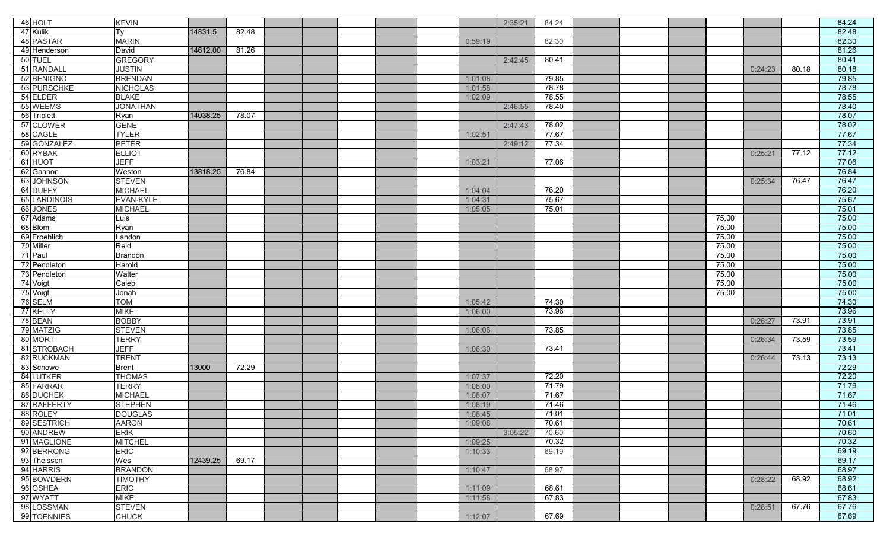| 46 HOLT      | <b>KEVIN</b>    |          |       |  |  |         | 2:35:21 | 84.24 |  |       |         |       | 84.24 |
|--------------|-----------------|----------|-------|--|--|---------|---------|-------|--|-------|---------|-------|-------|
| 47 Kulik     | Ty              | 14831.5  | 82.48 |  |  |         |         |       |  |       |         |       | 82.48 |
| 48 PASTAR    | <b>MARIN</b>    |          |       |  |  | 0:59:19 |         | 82.30 |  |       |         |       | 82.30 |
| 49 Henderson | David           | 14612.00 | 81.26 |  |  |         |         |       |  |       |         |       | 81.26 |
| 50 TUEL      | <b>GREGORY</b>  |          |       |  |  |         | 2:42:45 | 80.41 |  |       |         |       | 80.41 |
| 51 RANDALL   | <b>JUSTIN</b>   |          |       |  |  |         |         |       |  |       | 0:24:23 | 80.18 | 80.18 |
| 52 BENIGNO   | <b>BRENDAN</b>  |          |       |  |  | 1:01:08 |         | 79.85 |  |       |         |       | 79.85 |
| 53 PURSCHKE  | <b>NICHOLAS</b> |          |       |  |  | 1:01:58 |         | 78.78 |  |       |         |       | 78.78 |
| 54 ELDER     | <b>BLAKE</b>    |          |       |  |  | 1:02:09 |         | 78.55 |  |       |         |       | 78.55 |
| 55 WEEMS     | <b>JONATHAN</b> |          |       |  |  |         | 2:46:55 | 78.40 |  |       |         |       | 78.40 |
| 56 Triplett  | Ryan            | 14038.25 | 78.07 |  |  |         |         |       |  |       |         |       | 78.07 |
| 57 CLOWER    | <b>GENE</b>     |          |       |  |  |         | 2:47:43 | 78.02 |  |       |         |       | 78.02 |
| 58 CAGLE     | <b>TYLER</b>    |          |       |  |  | 1:02:51 |         | 77.67 |  |       |         |       | 77.67 |
| 59 GONZALEZ  | <b>PETER</b>    |          |       |  |  |         | 2:49:12 | 77.34 |  |       |         |       | 77.34 |
| 60 RYBAK     | <b>ELLIOT</b>   |          |       |  |  |         |         |       |  |       | 0:25:21 | 77.12 | 77.12 |
| 61 HUOT      | <b>JEFF</b>     |          |       |  |  | 1:03:21 |         | 77.06 |  |       |         |       | 77.06 |
| 62 Gannon    | Weston          | 13818.25 | 76.84 |  |  |         |         |       |  |       |         |       | 76.84 |
| 63 JOHNSON   | <b>STEVEN</b>   |          |       |  |  |         |         |       |  |       | 0:25:34 | 76.47 | 76.47 |
| 64 DUFFY     | <b>MICHAEL</b>  |          |       |  |  | 1:04:04 |         | 76.20 |  |       |         |       | 76.20 |
| 65 LARDINOIS | EVAN-KYLE       |          |       |  |  | 1:04:31 |         | 75.67 |  |       |         |       | 75.67 |
| 66 JONES     | <b>MICHAEL</b>  |          |       |  |  | 1:05:05 |         | 75.01 |  |       |         |       | 75.01 |
| 67 Adams     | Luis            |          |       |  |  |         |         |       |  | 75.00 |         |       | 75.00 |
| 68 Blom      | Ryan            |          |       |  |  |         |         |       |  | 75.00 |         |       | 75.00 |
| 69 Froehlich | Landon          |          |       |  |  |         |         |       |  | 75.00 |         |       | 75.00 |
| 70 Miller    | Reid            |          |       |  |  |         |         |       |  | 75.00 |         |       | 75.00 |
| 71 Paul      | <b>Brandon</b>  |          |       |  |  |         |         |       |  | 75.00 |         |       | 75.00 |
| 72 Pendleton | Harold          |          |       |  |  |         |         |       |  | 75.00 |         |       | 75.00 |
| 73 Pendleton | Walter          |          |       |  |  |         |         |       |  | 75.00 |         |       | 75.00 |
| 74 Voigt     | Caleb           |          |       |  |  |         |         |       |  | 75.00 |         |       | 75.00 |
| 75 Voigt     | Jonah           |          |       |  |  |         |         |       |  | 75.00 |         |       | 75.00 |
| 76 SELM      | <b>TOM</b>      |          |       |  |  | 1:05:42 |         | 74.30 |  |       |         |       | 74.30 |
| 77 KELLY     | <b>MIKE</b>     |          |       |  |  | 1:06:00 |         | 73.96 |  |       |         |       | 73.96 |
| 78 BEAN      | <b>BOBBY</b>    |          |       |  |  |         |         |       |  |       | 0:26:27 | 73.91 | 73.91 |
| 79 MATZIG    | <b>STEVEN</b>   |          |       |  |  | 1:06:06 |         | 73.85 |  |       |         |       | 73.85 |
| 80 MORT      | <b>TERRY</b>    |          |       |  |  |         |         |       |  |       | 0:26:34 | 73.59 | 73.59 |
| 81 STROBACH  | <b>JEFF</b>     |          |       |  |  | 1:06:30 |         | 73.41 |  |       |         |       | 73.41 |
| 82 RUCKMAN   | <b>TRENT</b>    |          |       |  |  |         |         |       |  |       | 0:26:44 | 73.13 | 73.13 |
| 83 Schowe    | <b>Brent</b>    | 13000    | 72.29 |  |  |         |         |       |  |       |         |       | 72.29 |
| 84 LUTKER    | <b>THOMAS</b>   |          |       |  |  | 1:07:37 |         | 72.20 |  |       |         |       | 72.20 |
| 85 FARRAR    | <b>TERRY</b>    |          |       |  |  | 1:08:00 |         | 71.79 |  |       |         |       | 71.79 |
| 86 DUCHEK    | <b>MICHAEL</b>  |          |       |  |  | 1:08:07 |         | 71.67 |  |       |         |       | 71.67 |
| 87 RAFFERTY  | <b>STEPHEN</b>  |          |       |  |  | 1:08:19 |         | 71.46 |  |       |         |       | 71.46 |
| 88 ROLEY     | <b>DOUGLAS</b>  |          |       |  |  | 1:08:45 |         | 71.01 |  |       |         |       | 71.01 |
| 89 SESTRICH  | <b>AARON</b>    |          |       |  |  | 1:09:08 |         | 70.61 |  |       |         |       | 70.61 |
| 90 ANDREW    | <b>ERIK</b>     |          |       |  |  |         | 3:05:22 | 70.60 |  |       |         |       | 70.60 |
| 91 MAGLIONE  | <b>MITCHEL</b>  |          |       |  |  | 1:09:25 |         | 70.32 |  |       |         |       | 70.32 |
| 92 BERRONG   | <b>ERIC</b>     |          |       |  |  | 1:10:33 |         | 69.19 |  |       |         |       | 69.19 |
| 93 Theissen  | Wes             | 12439.25 | 69.17 |  |  |         |         |       |  |       |         |       | 69.17 |
| 94 HARRIS    | <b>BRANDON</b>  |          |       |  |  | 1:10:47 |         | 68.97 |  |       |         |       | 68.97 |
| 95 BOWDERN   | <b>TIMOTHY</b>  |          |       |  |  |         |         |       |  |       | 0:28:22 | 68.92 | 68.92 |
| 96 OSHEA     | <b>ERIC</b>     |          |       |  |  | 1:11:09 |         | 68.61 |  |       |         |       | 68.61 |
| 97 WYATT     | <b>MIKE</b>     |          |       |  |  | 1:11:58 |         | 67.83 |  |       |         |       | 67.83 |
| 98 LOSSMAN   | <b>STEVEN</b>   |          |       |  |  |         |         |       |  |       | 0:28:51 | 67.76 | 67.76 |
| 99 TOENNIES  | <b>CHUCK</b>    |          |       |  |  | 1:12:07 |         | 67.69 |  |       |         |       | 67.69 |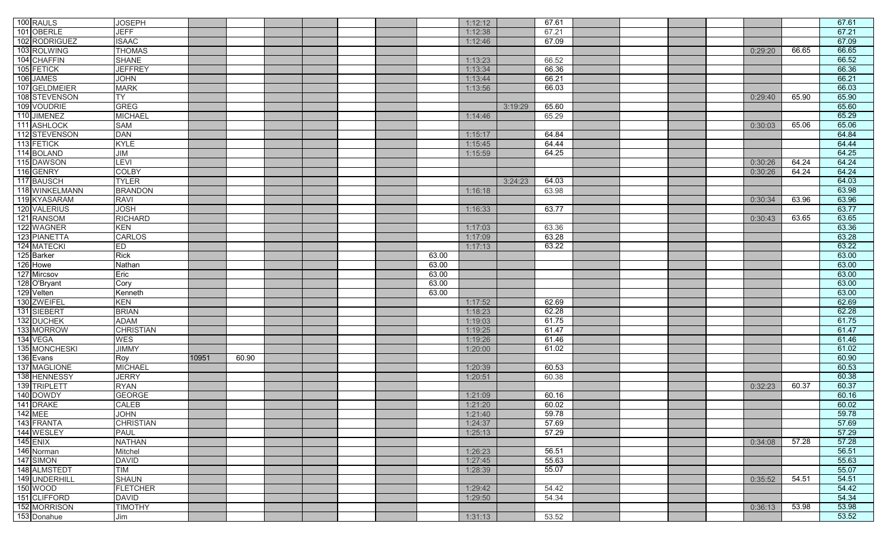|                 | 100 RAULS                          | <b>JOSEPH</b>                   |       |       |  |  |                | 1:12:12            |         | 67.61 |  |  |         |       | 67.61          |
|-----------------|------------------------------------|---------------------------------|-------|-------|--|--|----------------|--------------------|---------|-------|--|--|---------|-------|----------------|
|                 | 101 OBERLE                         | <b>JEFF</b>                     |       |       |  |  |                | 1:12:38            |         | 67.21 |  |  |         |       | 67.21          |
|                 | 102 RODRIGUEZ                      | <b>ISAAC</b>                    |       |       |  |  |                | 1:12:46            |         | 67.09 |  |  |         |       | 67.09          |
|                 | 103 ROLWING                        | <b>THOMAS</b>                   |       |       |  |  |                |                    |         |       |  |  | 0:29:20 | 66.65 | 66.65          |
|                 |                                    |                                 |       |       |  |  |                |                    |         |       |  |  |         |       | 66.52          |
|                 | 104 CHAFFIN                        | <b>SHANE</b>                    |       |       |  |  |                | 1:13:23            |         | 66.52 |  |  |         |       |                |
|                 | 105 FETICK                         | <b>JEFFREY</b>                  |       |       |  |  |                | 1:13:34            |         | 66.36 |  |  |         |       | 66.36          |
|                 | 106 JAMES                          | <b>JOHN</b>                     |       |       |  |  |                | 1:13:44            |         | 66.21 |  |  |         |       | 66.21          |
|                 | 107 GELDMEIER                      | <b>MARK</b>                     |       |       |  |  |                | 1:13:56            |         | 66.03 |  |  |         |       | 66.03          |
|                 | 108 STEVENSON                      | <b>TY</b>                       |       |       |  |  |                |                    |         |       |  |  | 0:29:40 | 65.90 | 65.90          |
|                 | 109 VOUDRIE                        | <b>GREG</b>                     |       |       |  |  |                |                    | 3:19:29 | 65.60 |  |  |         |       | 65.60          |
|                 | 110 JIMENEZ                        | <b>MICHAEL</b>                  |       |       |  |  |                | 1:14:46            |         | 65.29 |  |  |         |       | 65.29          |
|                 | 111 ASHLOCK                        | <b>SAM</b>                      |       |       |  |  |                |                    |         |       |  |  | 0:30:03 | 65.06 | 65.06          |
|                 | 112 STEVENSON                      | <b>DAN</b>                      |       |       |  |  |                | 1:15:17            |         | 64.84 |  |  |         |       | 64.84          |
|                 | 113 FETICK                         | <b>KYLE</b>                     |       |       |  |  |                | 1:15:45            |         | 64.44 |  |  |         |       | 64.44          |
|                 | 114 BOLAND                         | JIM                             |       |       |  |  |                | 1:15:59            |         | 64.25 |  |  |         |       | 64.25          |
|                 | 115 DAWSON                         | <b>LEVI</b>                     |       |       |  |  |                |                    |         |       |  |  | 0:30:26 | 64.24 | 64.24          |
|                 | 116 GENRY                          | <b>COLBY</b>                    |       |       |  |  |                |                    |         |       |  |  | 0:30:26 | 64.24 | 64.24          |
|                 | 117 BAUSCH                         | <b>TYLER</b>                    |       |       |  |  |                |                    | 3:24:23 | 64.03 |  |  |         |       | 64.03          |
|                 | 118 WINKELMANN                     | <b>BRANDON</b>                  |       |       |  |  |                | 1:16:18            |         | 63.98 |  |  |         |       | 63.98          |
|                 | 119 KYASARAM                       | <b>RAVI</b>                     |       |       |  |  |                |                    |         |       |  |  | 0:30:34 | 63.96 | 63.96          |
|                 | 120 VALERIUS                       | <b>JOSH</b>                     |       |       |  |  |                | 1:16:33            |         | 63.77 |  |  |         |       | 63.77          |
|                 | 121 RANSOM                         | <b>RICHARD</b>                  |       |       |  |  |                |                    |         |       |  |  | 0:30:43 | 63.65 | 63.65          |
|                 | 122 WAGNER                         | <b>KEN</b>                      |       |       |  |  |                | 1:17:03            |         | 63.36 |  |  |         |       | 63.36          |
|                 | 123 PIANETTA                       | <b>CARLOS</b>                   |       |       |  |  |                | 1:17:09            |         | 63.28 |  |  |         |       | 63.28          |
|                 | 124 MATECKI                        | <b>ED</b>                       |       |       |  |  |                | 1:17:13            |         | 63.22 |  |  |         |       | 63.22          |
|                 | 125 Barker                         | <b>Rick</b>                     |       |       |  |  | 63.00          |                    |         |       |  |  |         |       | 63.00          |
|                 | 126 Howe                           | Nathan                          |       |       |  |  | 63.00          |                    |         |       |  |  |         |       | 63.00          |
|                 |                                    |                                 |       |       |  |  |                |                    |         |       |  |  |         |       | 63.00          |
|                 | 127 Mircsov<br>128 O'Bryant        | Eric<br>Cory                    |       |       |  |  | 63.00<br>63.00 |                    |         |       |  |  |         |       | 63.00          |
|                 |                                    |                                 |       |       |  |  |                |                    |         |       |  |  |         |       |                |
|                 |                                    |                                 |       |       |  |  |                |                    |         |       |  |  |         |       |                |
|                 | 129 Velten                         | Kenneth                         |       |       |  |  | 63.00          |                    |         |       |  |  |         |       | 63.00          |
|                 | 130 ZWEIFEL                        | KEN                             |       |       |  |  |                | 1:17:52            |         | 62.69 |  |  |         |       | 62.69          |
|                 | 131 SIEBERT                        | <b>BRIAN</b>                    |       |       |  |  |                | 1:18:23            |         | 62.28 |  |  |         |       | 62.28          |
|                 | 132 DUCHEK                         | <b>ADAM</b>                     |       |       |  |  |                | 1:19:03            |         | 61.75 |  |  |         |       | 61.75          |
|                 | 133 MORROW                         | <b>CHRISTIAN</b>                |       |       |  |  |                | 1:19:25            |         | 61.47 |  |  |         |       | 61.47          |
|                 | 134 VEGA                           | <b>WES</b>                      |       |       |  |  |                | 1:19:26            |         | 61.46 |  |  |         |       | 61.46          |
|                 | 135 MONCHESKI                      | <b>JIMMY</b>                    |       |       |  |  |                | 1:20:00            |         | 61.02 |  |  |         |       | 61.02          |
|                 | 136 Evans                          | Roy                             | 10951 | 60.90 |  |  |                |                    |         |       |  |  |         |       | 60.90          |
|                 | 137 MAGLIONE                       | <b>MICHAEL</b>                  |       |       |  |  |                | 1:20:39            |         | 60.53 |  |  |         |       | 60.53          |
|                 | 138 HENNESSY                       | <b>JERRY</b>                    |       |       |  |  |                | 1:20:51            |         | 60.38 |  |  |         |       | 60.38          |
|                 | 139 TRIPLETT                       | <b>RYAN</b>                     |       |       |  |  |                |                    |         |       |  |  | 0:32:23 | 60.37 | 60.37          |
|                 | 140 DOWDY                          | <b>GEORGE</b>                   |       |       |  |  |                | 1:21:09            |         | 60.16 |  |  |         |       | 60.16          |
|                 |                                    | CALEB                           |       |       |  |  |                | 1:21:20            |         | 60.02 |  |  |         |       | 60.02          |
|                 |                                    |                                 |       |       |  |  |                |                    |         | 59.78 |  |  |         |       |                |
|                 |                                    | <b>JOHN</b><br><b>CHRISTIAN</b> |       |       |  |  |                | 1:21:40<br>1:24:37 |         | 57.69 |  |  |         |       | 59.78<br>57.69 |
|                 | 141 DRAKE<br>142 MEE<br>143 FRANTA | <b>PAUL</b>                     |       |       |  |  |                | 1:25:13            |         | 57.29 |  |  |         |       | 57.29          |
| <b>145 ENIX</b> | 144 WESLEY                         | <b>NATHAN</b>                   |       |       |  |  |                |                    |         |       |  |  |         | 57.28 |                |
|                 |                                    |                                 |       |       |  |  |                |                    |         |       |  |  | 0:34:08 |       | 57.28          |
|                 | 146 Norman                         | Mitchel                         |       |       |  |  |                | 1:26:23            |         | 56.51 |  |  |         |       | 56.51          |
|                 | 147 SIMON                          | <b>DAVID</b>                    |       |       |  |  |                | 1:27:45            |         | 55.63 |  |  |         |       | 55.63          |
|                 | 148 ALMSTEDT                       | <b>TIM</b>                      |       |       |  |  |                | 1:28:39            |         | 55.07 |  |  |         |       | 55.07          |
|                 | 149 UNDERHILL                      | <b>SHAUN</b>                    |       |       |  |  |                |                    |         |       |  |  | 0:35:52 | 54.51 | 54.51          |
|                 | 150 WOOD                           | <b>FLETCHER</b>                 |       |       |  |  |                | 1:29:42            |         | 54.42 |  |  |         |       | 54.42          |
|                 | 151 CLIFFORD                       | <b>DAVID</b>                    |       |       |  |  |                | 1:29:50            |         | 54.34 |  |  |         |       | 54.34          |
|                 | 152 MORRISON<br>153 Donahue        | <b>TIMOTHY</b><br>Jim           |       |       |  |  |                | 1:31:13            |         | 53.52 |  |  | 0:36:13 | 53.98 | 53.98<br>53.52 |